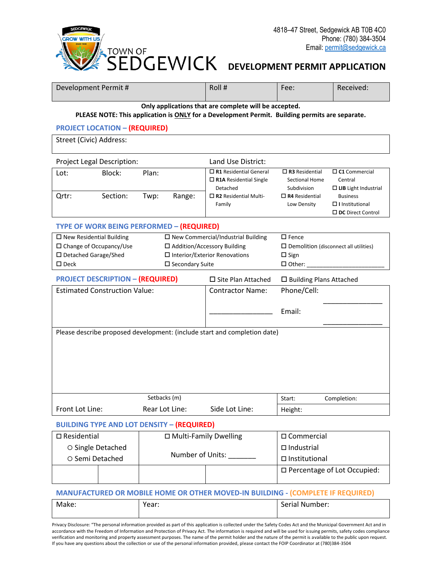

# **DEVELOPMENT PERMIT APPLICATION**

| Development Permit #                                                                                                                                                      |                                      |                |                                                                                      | Roll#                                                                                                 | Fee:                                                   | Received:                                                             |
|---------------------------------------------------------------------------------------------------------------------------------------------------------------------------|--------------------------------------|----------------|--------------------------------------------------------------------------------------|-------------------------------------------------------------------------------------------------------|--------------------------------------------------------|-----------------------------------------------------------------------|
| Only applications that are complete will be accepted.                                                                                                                     |                                      |                |                                                                                      |                                                                                                       |                                                        |                                                                       |
|                                                                                                                                                                           |                                      |                |                                                                                      | PLEASE NOTE: This application is ONLY for a Development Permit. Building permits are separate.        |                                                        |                                                                       |
|                                                                                                                                                                           | <b>PROJECT LOCATION - (REQUIRED)</b> |                |                                                                                      |                                                                                                       |                                                        |                                                                       |
| Street (Civic) Address:                                                                                                                                                   |                                      |                |                                                                                      |                                                                                                       |                                                        |                                                                       |
|                                                                                                                                                                           | Project Legal Description:           |                |                                                                                      | Land Use District:                                                                                    |                                                        |                                                                       |
| Lot:                                                                                                                                                                      | Block:                               | Plan:          |                                                                                      | $\Box$ R1 Residential General<br>$\Box$ R1A Residential Single<br>Detached                            | $\Box$ R3 Residential<br>Sectional Home<br>Subdivision | $\square$ C1 Commercial<br>Central<br>$\Box$ LIB Light Industrial     |
| Qrtr:                                                                                                                                                                     | Section:                             | Twp:           | Range:                                                                               | $\Box$ R2 Residential Multi-<br>Family                                                                | $\Box$ R4 Residential<br>Low Density                   | <b>Business</b><br>$\Box$ I Institutional<br>$\Box$ DC Direct Control |
| TYPE OF WORK BEING PERFORMED - (REQUIRED)                                                                                                                                 |                                      |                |                                                                                      |                                                                                                       |                                                        |                                                                       |
| $\square$ New Residential Building<br>□ Change of Occupancy/Use<br>□ Addition/Accessory Building<br>□ Detached Garage/Shed<br>$\square$ Secondary Suite<br>$\square$ Deck |                                      |                | $\square$ New Commercial/Industrial Building<br>$\Box$ Interior/Exterior Renovations | $\square$ Fence<br>$\square$ Demolition (disconnect all utilities)<br>$\square$ Sign<br>$\Box$ Other: |                                                        |                                                                       |
| <b>PROJECT DESCRIPTION - (REQUIRED)</b>                                                                                                                                   |                                      |                | □ Site Plan Attached                                                                 | $\square$ Building Plans Attached                                                                     |                                                        |                                                                       |
| <b>Estimated Construction Value:</b>                                                                                                                                      |                                      |                | <b>Contractor Name:</b>                                                              | Phone/Cell:                                                                                           |                                                        |                                                                       |
|                                                                                                                                                                           |                                      |                |                                                                                      | Email:                                                                                                |                                                        |                                                                       |
| Please describe proposed development: (include start and completion date)                                                                                                 |                                      |                |                                                                                      |                                                                                                       |                                                        |                                                                       |
| Setbacks (m)                                                                                                                                                              |                                      |                |                                                                                      | Start:                                                                                                | Completion:                                            |                                                                       |
| Front Lot Line:                                                                                                                                                           |                                      | Rear Lot Line: |                                                                                      | Side Lot Line:                                                                                        | Height:                                                |                                                                       |
| <b>BUILDING TYPE AND LOT DENSITY - (REQUIRED)</b>                                                                                                                         |                                      |                |                                                                                      |                                                                                                       |                                                        |                                                                       |
| □ Multi-Family Dwelling<br>$\square$ Residential                                                                                                                          |                                      |                | □ Commercial                                                                         |                                                                                                       |                                                        |                                                                       |
| O Single Detached                                                                                                                                                         |                                      |                |                                                                                      | $\Box$ Industrial                                                                                     |                                                        |                                                                       |
| O Semi Detached                                                                                                                                                           |                                      |                |                                                                                      | Number of Units:                                                                                      | □ Institutional                                        |                                                                       |
|                                                                                                                                                                           |                                      |                |                                                                                      |                                                                                                       |                                                        | □ Percentage of Lot Occupied:                                         |

#### **MANUFACTURED OR MOBILE HOME OR OTHER MOVED-IN BUILDING - (COMPLETE IF REQUIRED)**

| Make: | Year: | Serial Number: |
|-------|-------|----------------|
|       |       |                |

Privacy Disclosure: "The personal information provided as part of this application is collected under the Safety Codes Act and the Municipal Government Act and in accordance with the Freedom of Information and Protection of Privacy Act. The information is required and will be used for issuing permits, safety codes compliance verification and monitoring and property assessment purposes. The name of the permit holder and the nature of the permit is available to the public upon request. If you have any questions about the collection or use of the personal information provided, please contact the FOIP Coordinator at (780)384-3504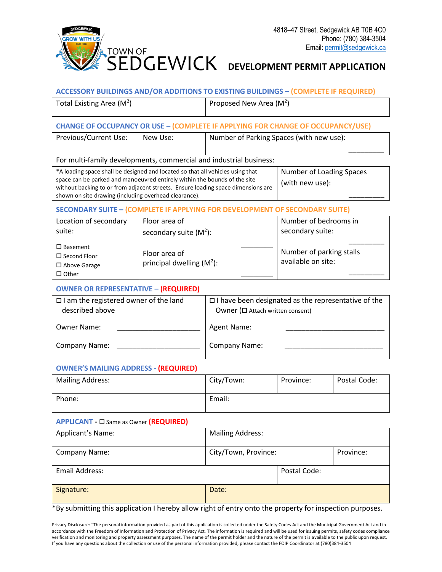

### **ACCESSORY BUILDINGS AND/OR ADDITIONS TO EXISTING BUILDINGS – (COMPLETE IF REQUIRED)**

| Total Existing Area $(M2)$ | Proposed New Area ( $M2$ ) |
|----------------------------|----------------------------|
|                            |                            |

#### **CHANGE OF OCCUPANCY OR USE – (COMPLETE IF APPLYING FOR CHANGE OF OCCUPANCY/USE)**

| Previous/Current Use:<br>New Use: |  | Number of Parking Spaces (with new use): |  |
|-----------------------------------|--|------------------------------------------|--|
|                                   |  |                                          |  |

For multi-family developments, commercial and industrial business:

| *A loading space shall be designed and located so that all vehicles using that   | Number of Loading Spaces |
|----------------------------------------------------------------------------------|--------------------------|
| space can be parked and manoeuvred entirely within the bounds of the site        | (with new use):          |
| without backing to or from adjacent streets. Ensure loading space dimensions are |                          |
| shown on site drawing (including overhead clearance).                            |                          |

# **SECONDARY SUITE – (COMPLETE IF APPLYING FOR DEVELOPMENT OF SECONDARY SUITE)**

| Location of secondary                                            | Floor area of                                 | Number of bedrooms in                          |
|------------------------------------------------------------------|-----------------------------------------------|------------------------------------------------|
| suite:                                                           | secondary suite $(M2)$ :                      | secondary suite:                               |
| $\square$ Basement<br>$\Box$ Second Floor<br>$\Box$ Above Garage | Floor area of<br>principal dwelling $(M^2)$ : | Number of parking stalls<br>available on site: |
| $\Box$ Other                                                     |                                               |                                                |

# **OWNER OR REPRESENTATIVE – (REQUIRED)**

| $\Box$ I am the registered owner of the land<br>described above | $\Box$ I have been designated as the representative of the<br>Owner ( $\square$ Attach written consent) |  |
|-----------------------------------------------------------------|---------------------------------------------------------------------------------------------------------|--|
| <b>Owner Name:</b>                                              | Agent Name:                                                                                             |  |
| <b>Company Name:</b>                                            | Company Name:                                                                                           |  |

# **OWNER'S MAILING ADDRESS - (REQUIRED)**

| <b>Mailing Address:</b> | City/Town: | Province: | Postal Code: |
|-------------------------|------------|-----------|--------------|
| Phone:                  | Email:     |           |              |

#### **APPLICANT -** Same as Owner **(REQUIRED)**

| Applicant's Name:    | <b>Mailing Address:</b> |              |           |
|----------------------|-------------------------|--------------|-----------|
| <b>Company Name:</b> | City/Town, Province:    |              | Province: |
| Email Address:       |                         | Postal Code: |           |
| Signature:           | Date:                   |              |           |

\*By submitting this application I hereby allow right of entry onto the property for inspection purposes.

Privacy Disclosure: "The personal information provided as part of this application is collected under the Safety Codes Act and the Municipal Government Act and in accordance with the Freedom of Information and Protection of Privacy Act. The information is required and will be used for issuing permits, safety codes compliance verification and monitoring and property assessment purposes. The name of the permit holder and the nature of the permit is available to the public upon request. If you have any questions about the collection or use of the personal information provided, please contact the FOIP Coordinator at (780)384-3504